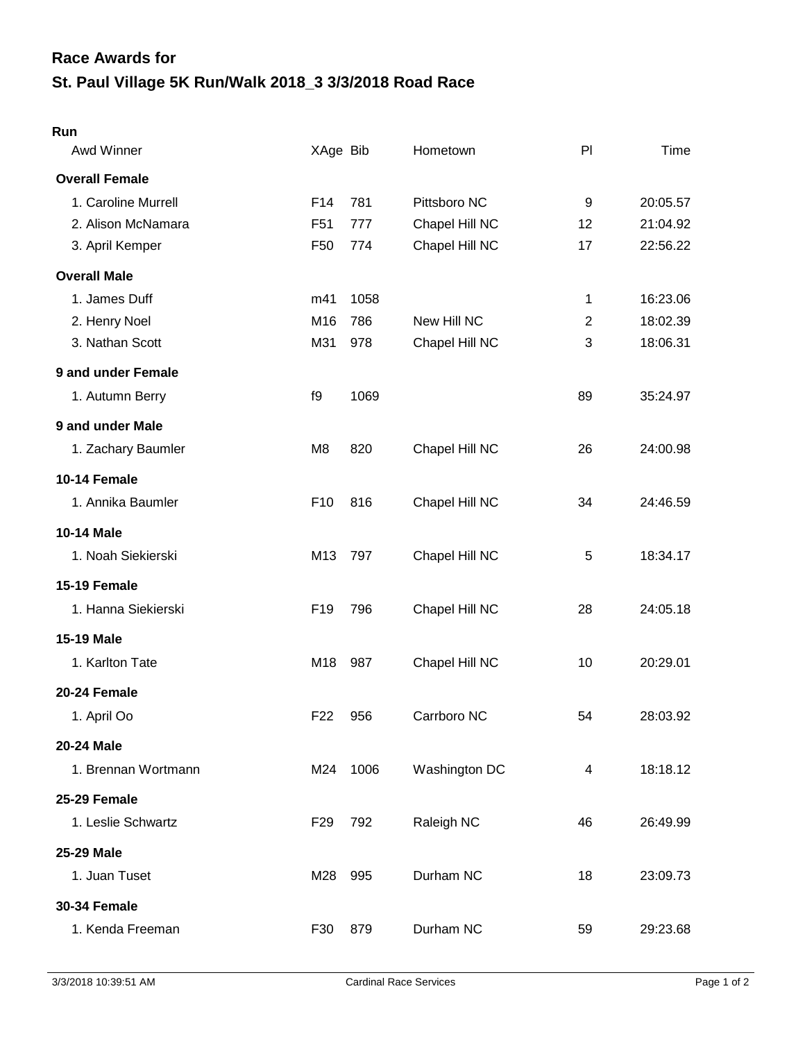## **St. Paul Village 5K Run/Walk 2018\_3 3/3/2018 Road Race Race Awards for**

## **Run**

| Awd Winner            | XAge Bib        |      | Hometown       | PI             | Time     |
|-----------------------|-----------------|------|----------------|----------------|----------|
| <b>Overall Female</b> |                 |      |                |                |          |
| 1. Caroline Murrell   | F14             | 781  | Pittsboro NC   | 9              | 20:05.57 |
| 2. Alison McNamara    | F <sub>51</sub> | 777  | Chapel Hill NC | 12             | 21:04.92 |
| 3. April Kemper       | F <sub>50</sub> | 774  | Chapel Hill NC | 17             | 22:56.22 |
| <b>Overall Male</b>   |                 |      |                |                |          |
| 1. James Duff         | m41             | 1058 |                | 1              | 16:23.06 |
| 2. Henry Noel         | M16             | 786  | New Hill NC    | $\overline{2}$ | 18:02.39 |
| 3. Nathan Scott       | M31             | 978  | Chapel Hill NC | 3              | 18:06.31 |
| 9 and under Female    |                 |      |                |                |          |
| 1. Autumn Berry       | f9              | 1069 |                | 89             | 35:24.97 |
| 9 and under Male      |                 |      |                |                |          |
| 1. Zachary Baumler    | M <sub>8</sub>  | 820  | Chapel Hill NC | 26             | 24:00.98 |
| 10-14 Female          |                 |      |                |                |          |
| 1. Annika Baumler     | F <sub>10</sub> | 816  | Chapel Hill NC | 34             | 24:46.59 |
| 10-14 Male            |                 |      |                |                |          |
| 1. Noah Siekierski    | M13             | 797  | Chapel Hill NC | 5              | 18:34.17 |
| 15-19 Female          |                 |      |                |                |          |
| 1. Hanna Siekierski   | F <sub>19</sub> | 796  | Chapel Hill NC | 28             | 24:05.18 |
| <b>15-19 Male</b>     |                 |      |                |                |          |
| 1. Karlton Tate       | M18             | 987  | Chapel Hill NC | 10             | 20:29.01 |
| 20-24 Female          |                 |      |                |                |          |
| 1. April Oo           | F <sub>22</sub> | 956  | Carrboro NC    | 54             | 28:03.92 |
| <b>20-24 Male</b>     |                 |      |                |                |          |
| 1. Brennan Wortmann   | M24             | 1006 | Washington DC  | 4              | 18:18.12 |
| 25-29 Female          |                 |      |                |                |          |
| 1. Leslie Schwartz    | F <sub>29</sub> | 792  | Raleigh NC     | 46             | 26:49.99 |
| <b>25-29 Male</b>     |                 |      |                |                |          |
| 1. Juan Tuset         | M28             | 995  | Durham NC      | 18             | 23:09.73 |
| <b>30-34 Female</b>   |                 |      |                |                |          |
| 1. Kenda Freeman      | F30             | 879  | Durham NC      | 59             | 29:23.68 |
|                       |                 |      |                |                |          |